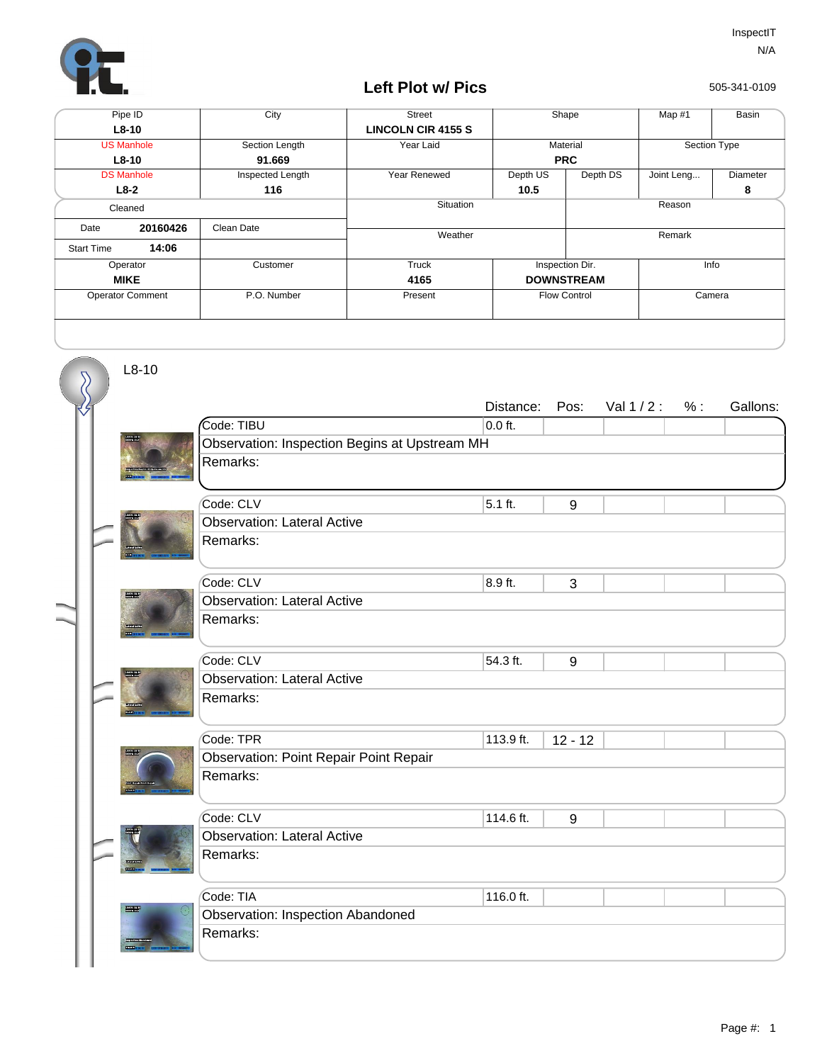

## **Left Plot w/ Pics**

505-341-0109

| Pipe ID                 |          | City             | <b>Street</b>             | Shape                   |          | Map #1       | Basin    |
|-------------------------|----------|------------------|---------------------------|-------------------------|----------|--------------|----------|
| $L8-10$                 |          |                  | <b>LINCOLN CIR 4155 S</b> |                         |          |              |          |
| <b>US Manhole</b>       |          | Section Length   | Year Laid                 | Material                |          | Section Type |          |
| $L8-10$                 |          | 91.669           |                           | <b>PRC</b>              |          |              |          |
| <b>DS Manhole</b>       |          | Inspected Length | Year Renewed              | Depth US                | Depth DS | Joint Leng   | Diameter |
| $L8-2$                  |          | 116              |                           | 10.5                    |          |              | 8        |
| Cleaned                 |          |                  | Situation                 |                         | Reason   |              |          |
| Date                    | 20160426 | Clean Date       | Weather                   |                         |          | Remark       |          |
| <b>Start Time</b>       | 14:06    |                  |                           |                         |          |              |          |
| Operator                |          | Customer         | Truck                     | Inspection Dir.<br>Info |          |              |          |
| <b>MIKE</b>             |          |                  | 4165                      | <b>DOWNSTREAM</b>       |          |              |          |
| <b>Operator Comment</b> |          | P.O. Number      | Present                   | <b>Flow Control</b>     |          | Camera       |          |
|                         |          |                  |                           |                         |          |              |          |

L8-10

|               |                  |                                               | Distance:                                                                                                                                                                                                                                                                                                                          | Pos:                                                       | Val $1/2$ :              | % : | Gallons: |  |  |  |
|---------------|------------------|-----------------------------------------------|------------------------------------------------------------------------------------------------------------------------------------------------------------------------------------------------------------------------------------------------------------------------------------------------------------------------------------|------------------------------------------------------------|--------------------------|-----|----------|--|--|--|
| $\langle f $  |                  | Code: TIBU                                    | $0.0$ ft.                                                                                                                                                                                                                                                                                                                          |                                                            |                          |     |          |  |  |  |
|               |                  | Observation: Inspection Begins at Upstream MH |                                                                                                                                                                                                                                                                                                                                    |                                                            |                          |     |          |  |  |  |
|               |                  | Remarks:                                      |                                                                                                                                                                                                                                                                                                                                    |                                                            |                          |     |          |  |  |  |
|               |                  |                                               |                                                                                                                                                                                                                                                                                                                                    |                                                            |                          |     |          |  |  |  |
|               |                  |                                               |                                                                                                                                                                                                                                                                                                                                    |                                                            |                          |     |          |  |  |  |
|               |                  |                                               |                                                                                                                                                                                                                                                                                                                                    |                                                            |                          |     |          |  |  |  |
|               |                  |                                               |                                                                                                                                                                                                                                                                                                                                    |                                                            |                          |     |          |  |  |  |
|               |                  |                                               |                                                                                                                                                                                                                                                                                                                                    |                                                            |                          |     |          |  |  |  |
|               |                  |                                               |                                                                                                                                                                                                                                                                                                                                    |                                                            |                          |     |          |  |  |  |
|               | <b>The Party</b> |                                               |                                                                                                                                                                                                                                                                                                                                    |                                                            |                          |     |          |  |  |  |
|               |                  |                                               |                                                                                                                                                                                                                                                                                                                                    |                                                            |                          |     |          |  |  |  |
|               |                  |                                               |                                                                                                                                                                                                                                                                                                                                    |                                                            |                          |     |          |  |  |  |
|               |                  |                                               |                                                                                                                                                                                                                                                                                                                                    |                                                            |                          |     |          |  |  |  |
|               |                  |                                               |                                                                                                                                                                                                                                                                                                                                    |                                                            |                          |     |          |  |  |  |
|               |                  |                                               |                                                                                                                                                                                                                                                                                                                                    |                                                            |                          |     |          |  |  |  |
|               |                  |                                               |                                                                                                                                                                                                                                                                                                                                    |                                                            |                          |     |          |  |  |  |
|               |                  |                                               |                                                                                                                                                                                                                                                                                                                                    |                                                            |                          |     |          |  |  |  |
|               |                  |                                               |                                                                                                                                                                                                                                                                                                                                    |                                                            |                          |     |          |  |  |  |
|               |                  |                                               |                                                                                                                                                                                                                                                                                                                                    |                                                            |                          |     |          |  |  |  |
|               |                  |                                               |                                                                                                                                                                                                                                                                                                                                    |                                                            |                          |     |          |  |  |  |
|               |                  |                                               |                                                                                                                                                                                                                                                                                                                                    |                                                            |                          |     |          |  |  |  |
|               |                  |                                               |                                                                                                                                                                                                                                                                                                                                    | 9                                                          |                          |     |          |  |  |  |
|               |                  |                                               |                                                                                                                                                                                                                                                                                                                                    |                                                            |                          |     |          |  |  |  |
|               |                  |                                               |                                                                                                                                                                                                                                                                                                                                    |                                                            |                          |     |          |  |  |  |
|               |                  |                                               |                                                                                                                                                                                                                                                                                                                                    |                                                            |                          |     |          |  |  |  |
| <b>The Re</b> |                  | Code: TIA                                     | 116.0 ft.                                                                                                                                                                                                                                                                                                                          |                                                            |                          |     |          |  |  |  |
|               |                  | Observation: Inspection Abandoned             |                                                                                                                                                                                                                                                                                                                                    |                                                            |                          |     |          |  |  |  |
|               |                  | Remarks:                                      |                                                                                                                                                                                                                                                                                                                                    |                                                            |                          |     |          |  |  |  |
|               |                  |                                               |                                                                                                                                                                                                                                                                                                                                    |                                                            |                          |     |          |  |  |  |
|               |                  |                                               | Code: CLV<br><b>Observation: Lateral Active</b><br>Remarks:<br>Code: CLV<br><b>Observation: Lateral Active</b><br>Remarks:<br>Code: CLV<br><b>Observation: Lateral Active</b><br>Remarks:<br>Code: TPR<br><b>Observation: Point Repair Point Repair</b><br>Remarks:<br>Code: CLV<br><b>Observation: Lateral Active</b><br>Remarks: | $5.1$ ft.<br>8.9 ft.<br>54.3 ft.<br>113.9 ft.<br>114.6 ft. | 9<br>3<br>9<br>$12 - 12$ |     |          |  |  |  |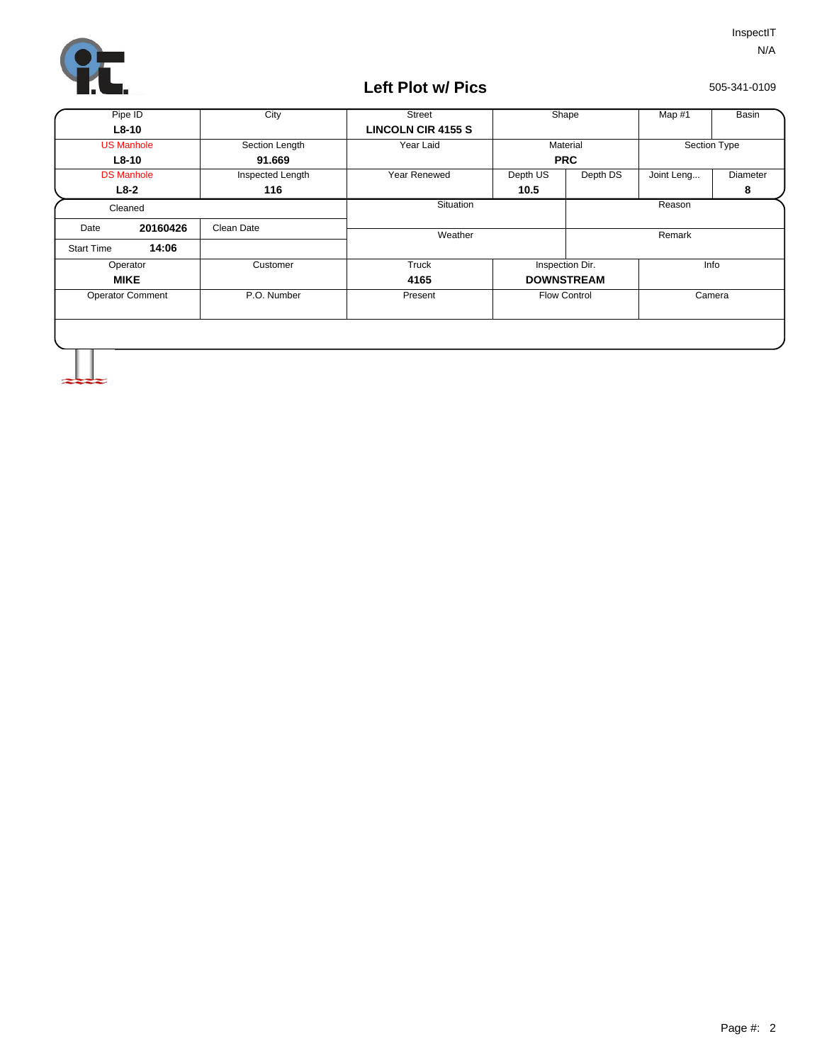

## **Left Plot w/ Pics**

505-341-0109

| Pipe ID                 |          | City             | <b>Street</b>             | Shape             |                 | Map #1       | Basin    |
|-------------------------|----------|------------------|---------------------------|-------------------|-----------------|--------------|----------|
| $L8-10$                 |          |                  | <b>LINCOLN CIR 4155 S</b> |                   |                 |              |          |
| <b>US Manhole</b>       |          | Section Length   | Year Laid                 | Material          |                 | Section Type |          |
| $L8-10$                 |          | 91.669           |                           | <b>PRC</b>        |                 |              |          |
| <b>DS Manhole</b>       |          | Inspected Length | Year Renewed              | Depth US          | Depth DS        | Joint Leng   | Diameter |
|                         | $L8-2$   | 116              |                           | 10.5              |                 |              | 8        |
| Cleaned                 |          |                  | Situation                 |                   |                 | Reason       |          |
| Date                    | 20160426 | Clean Date       | Weather                   |                   |                 | Remark       |          |
| <b>Start Time</b>       | 14:06    |                  |                           |                   |                 |              |          |
| Operator                |          | Customer         | Truck                     |                   | Inspection Dir. |              | Info     |
| <b>MIKE</b>             |          |                  | 4165                      | <b>DOWNSTREAM</b> |                 |              |          |
| <b>Operator Comment</b> |          | P.O. Number      | Present                   | Flow Control      |                 | Camera       |          |
|                         |          |                  |                           |                   |                 |              |          |